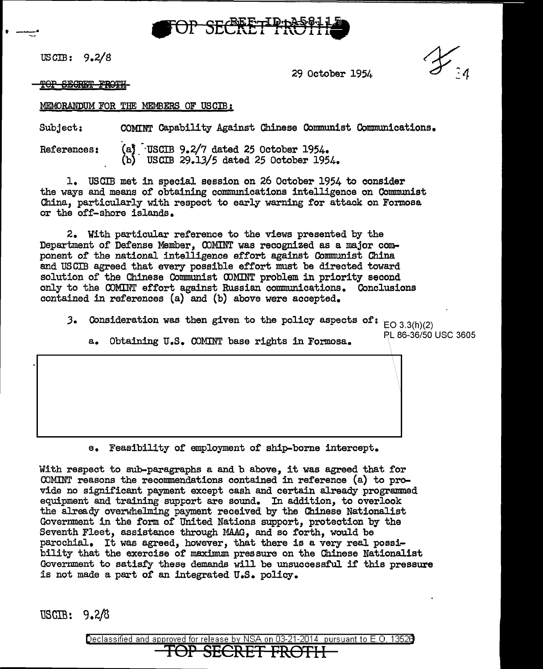

uscm: 9.2/s

 $\cdot$  - $\cdot$ 

29 October 1954

TOP SECRET FROTH

### MEMORANDUM FOR THE MEMBERS OF USCIB:

Subject: COMINT Capability Against Chinese Communist Communications.

References: (a) USCIB 9.2/7 dated 25 October 1954. (b) USCIB 29.13/5 dated 25 October 1954.

1. USCIB met in special session on 26 October 1954 to consider the ways and means of obtaining communications intelligence on Communist China, particularly with respect to early warning for attack on Formosa or the off-shore islands.

2. With particular reference to the views presented by the Department of Defense Member, COMINT was recognized as a major component of the national intelligence effort against Communist China and USCIB agreed that every possible effort must be directed toward solution of the Chinese Communist CDMINT problem in priority second only to the COMINT effort against Russian communications. Conclusions contained in references (a) and (b) above were accepted.

**3. Consideration was then given to the policy aspects of:**  $E = 3.3(h)(2)$ <br> $E = 86-36/50$  USC 3605  $EO 3.3(h)(2)$ 

a. Obtaining U.S. COMINT base rights in Formosa.

e. Feasibility of employment of ship-borne intercept.

With respect to sub-paragraphs a and b above, it was agreed that for COMINT reasons the recommendations contained in reference (a) to provide no significant payment except cash and certain already programmed equipment and training support are sound. In addition, to overlook the already overwhelming payment received by the Chinese Nationalist Government in the form of United Nations support, protection by the Seventh Fleet, assistance through MAAG, and so forth, would be parochial. It was agreed, however, that there is a very real possibility that the exercise of maximum pressure on the Chinese Nationalist Government to satisfy these demands will be unsuccessful if this pressure is not made a part of an integrated U.S. policy.

USCIB: 9.2/8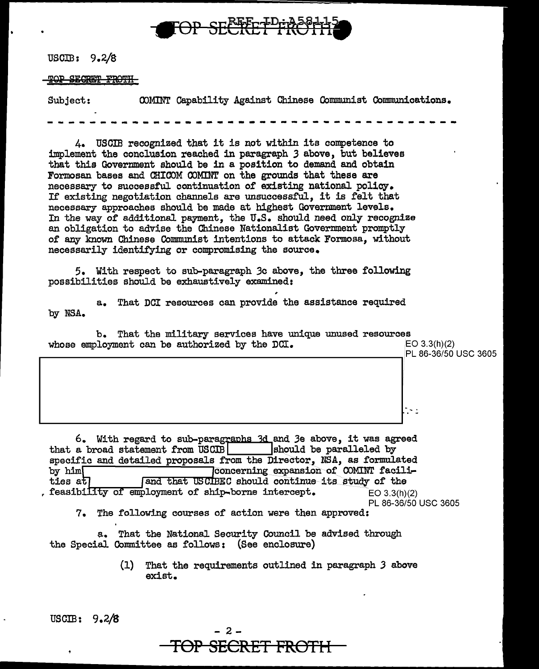

USCIB:  $9.2/8$ 

#### TO<del>P SECRET</del> <del>FROTH-</del>

COMINT Capability Against Chinese Communist Communications. Subject:

4. USCIB recognized that it is not within its competence to implement the conclusion reached in paragraph 3 above, but believes that this Government should be in a position to demand and obtain Formosan bases and CHICOM COMINT on the grounds that these are necessary to successful continuation of existing national policy. If existing negotiation channels are unsuccessful, it is felt that necessary approaches should be made at highest Government levels. In the way of additional payment, the U.S. should need only recognize an obligation to advise the Chinese Nationalist Government promptly of any known Chinese Communist intentions to attack Formosa, without necessarily identifying or compromising the source.

5. With respect to sub-paragraph 3c above, the three following possibilities should be exhaustively examined:

a. That DCI resources can provide the assistance required by NSA.

| b. That the military services have unique unused resources<br>whose employment can be authorized by the DCI. | EO 3.3(h)(2)<br>PL 86-36/50 USC 3605 |
|--------------------------------------------------------------------------------------------------------------|--------------------------------------|
|                                                                                                              |                                      |
|                                                                                                              | $\sim$ 1                             |

6. With regard to sub-paragraphs 3d and 3e above, it was agreed that a broad statement from USCIB should be paralleled by specific and detailed proposals from the Director, NSA, as formulated Concerning expansion of COMINT facili- $\mathbf{b}$  v  $\mathbf{h}$  im  $\mathbf{b}$ ties at and that USCIBEC should continue its study of the . feasibility of employment of ship-borne intercept.  $EO 3.3(h)(2)$ PL 86-36/50 USC 3605 7. The following courses of action were then approved:

a. That the National Security Council be advised through the Special Committee as follows: (See enclosure)

> $(1)$ That the requirements outlined in paragraph 3 above exist.

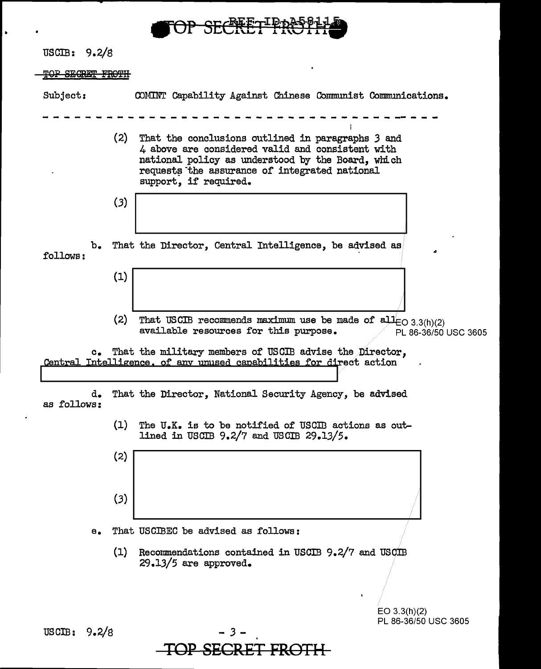

 $\cdot$ 

 $\bullet$ 

 $\overline{\phantom{0}}$ 

 $\sim$ 

| USCIB: $9.2/8$          |               |     |                                                                                                                                                                                                                                      |
|-------------------------|---------------|-----|--------------------------------------------------------------------------------------------------------------------------------------------------------------------------------------------------------------------------------------|
| <b>TOP SECRET FROTH</b> |               |     |                                                                                                                                                                                                                                      |
| Subject:                |               |     | COMINT Capability Against Chinese Communist Communications.                                                                                                                                                                          |
|                         |               | (2) | That the conclusions outlined in paragraphs 3 and<br>4 above are considered valid and consistent with<br>national policy as understood by the Board, which<br>requests the assurance of integrated national<br>support, if required. |
|                         |               | (3) |                                                                                                                                                                                                                                      |
| follows:                | b.            |     | That the Director, Central Intelligence, be advised as                                                                                                                                                                               |
|                         |               | (1) |                                                                                                                                                                                                                                      |
|                         |               | (2) | That USCIB recommends maximum use be made of $aH_{\text{EO }3.3(h)(2)}$<br>available resources for this purpose.<br>PL 86-36/50 USC 3605                                                                                             |
|                         | $c_{\bullet}$ |     | That the military members of USCIB advise the Director,<br>Central Intelligence, of any unused capabilities for direct action                                                                                                        |
| as follows:             | d.            |     | That the Director, National Security Agency, be advised                                                                                                                                                                              |
|                         |               | (1) | The U.K. is to be notified of USCIB actions as out-<br>lined in USCIB 9.2/7 and USCIB 29.13/5.                                                                                                                                       |
|                         |               | (2) |                                                                                                                                                                                                                                      |
|                         |               | (3) |                                                                                                                                                                                                                                      |
|                         | е.            |     | That USCIBEC be advised as follows:                                                                                                                                                                                                  |
|                         |               | (1) | Recommendations contained in USCIB 9.2/7 and USCIB<br>$29.13/5$ are approved.                                                                                                                                                        |
|                         |               |     | EO $3.3(h)(2)$                                                                                                                                                                                                                       |
| USCIB:                  | 9.2/8         |     | PL 86-36/50 USC 3605<br>-3.                                                                                                                                                                                                          |
|                         |               |     |                                                                                                                                                                                                                                      |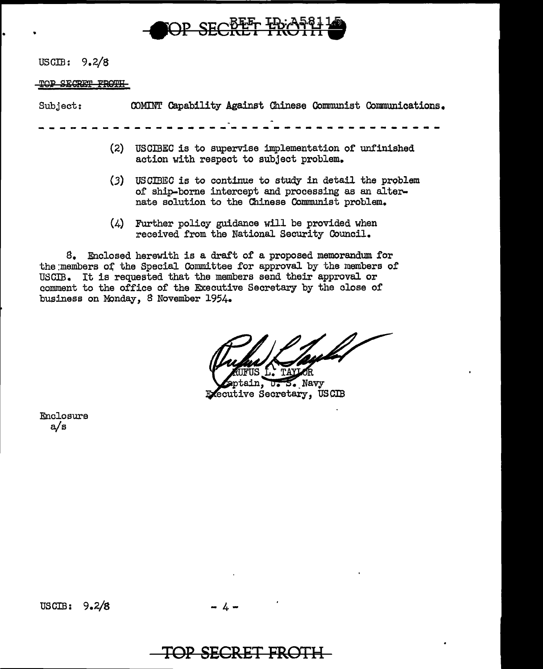

USCIB: 9.2/8

TOP SECRET FROTH

| Subject: |  |  |  | COMINT Capability Against Chinese Communist Communications. |  |
|----------|--|--|--|-------------------------------------------------------------|--|
|          |  |  |  |                                                             |  |
|          |  |  |  | (2) USCIBEC is to supervise implementation of unfinished    |  |

- action with respect to subject problem. (3) USCIBEC is to continue to study in detail the problem
- of ship-borne intercept and processing as an alternate solution to the Chinese Communist problem.
- (4) Further policy guidance will be provided when received from the National Security Council.

8. Enclosed herewith is a draft of a proposed memorandum for the members of the Special Committee for approval by the members of USCIB. It is requested that the members send their approval or comment to the office of the Executive Secretary by the close of business on Monday, 8 November 1954.

FUS L. TAYLOR

ptain, U.S. Navy Executive Secretary, USCIB

Enclosure a/s

## **TOP SECR£f PRGTH**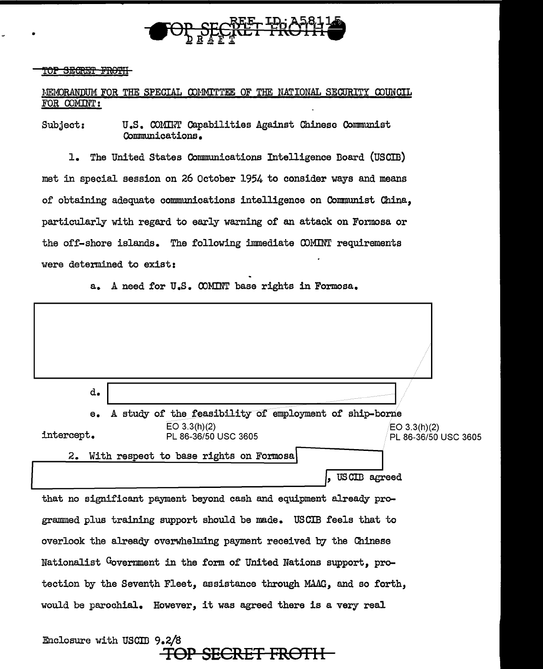

### <u>TOP SEGRET FROTH</u>

•

## HE:MORAWJUM FOR THE SPECIAL OOHMITTEE OF THE NATIONAL SECURITY OOUNCIL FOR COMINT:

Subject: U.S. COMINT Capabilities Against Chinese Communist Communications.

1. The United States Communications Intelligence Doard (USCID) met in special session on 26 October 1954 to consider ways and means of obtaining adequate communications intelligence on Communist China, particularly with regard to early warning of an attack on Formosa or the off-shore islands. The following immediate COMINT requirements were determined to exist:

a. A need for U.S. OOMINT base rights in Formosa.



Enclosure with USCIB 9.2/8 TOP **SECRET FROTH**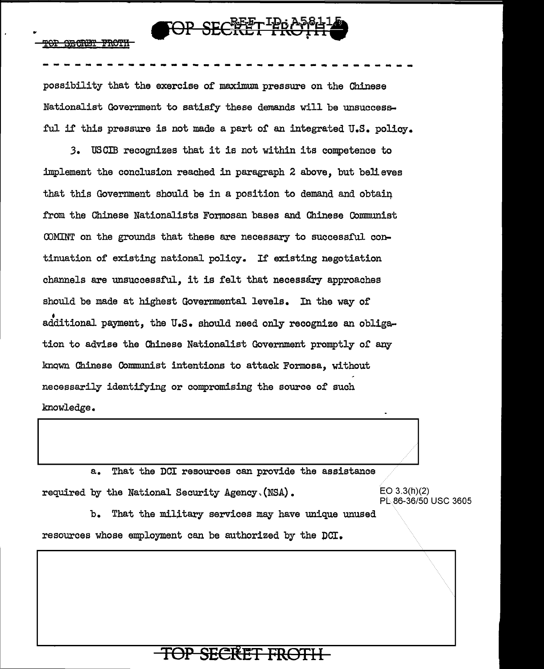

possibility that the exercise of maximum pressure on the Chinese Nationalist Government to satisfy these demands will be unsuccessful if this pressure is not made a part of an integrated U.S. policy.

3. USCIB recognizes that it is not within its competence to implement the conclusion reached in paragraph 2 above, but believes that this Government should be in a position to demand and obtain from the Chinese Nationalists Formosan bases and Chinese Communist COMINT on the grounds that these are necessary to successful continuation of existing national policy. If existing negotiation channels are unsuccessful, it is felt that necessary approaches should be made at highest Governmental levels. In the way of additional payment, the U.S. should need only recognize an obligation to advise the Chinese Nationalist Government promptly of any known Chinese Communist intentions to attack Formosa, without necessarily identifying or compromising the source of such knowledge.

 $a_{\bullet}$ That the DCI resources can provide the assistance required by the National Security Agency. (NSA).  $EO 3.3(h)(2)$ PL 86-36/50 USC 3605

b. That the military services may have unique unused resources whose employment can be authorized by the DCI.

# **SECRET FROTH**